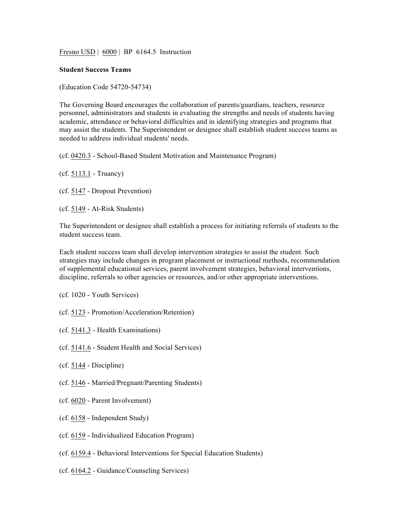Fresno USD | 6000 | BP 6164.5 Instruction

## **Student Success Teams**

(Education Code 54720-54734)

The Governing Board encourages the collaboration of parents/guardians, teachers, resource personnel, administrators and students in evaluating the strengths and needs of students having academic, attendance or behavioral difficulties and in identifying strategies and programs that may assist the students. The Superintendent or designee shall establish student success teams as needed to address individual students' needs.

(cf. 0420.3 - School-Based Student Motivation and Maintenance Program)

- (cf. 5113.1 Truancy)
- (cf. 5147 Dropout Prevention)
- (cf. 5149 At-Risk Students)

The Superintendent or designee shall establish a process for initiating referrals of students to the student success team.

Each student success team shall develop intervention strategies to assist the student. Such strategies may include changes in program placement or instructional methods, recommendation of supplemental educational services, parent involvement strategies, behavioral interventions, discipline, referrals to other agencies or resources, and/or other appropriate interventions.

- (cf. 1020 Youth Services)
- (cf. 5123 Promotion/Acceleration/Retention)
- (cf. 5141.3 Health Examinations)
- (cf. 5141.6 Student Health and Social Services)
- (cf. 5144 Discipline)
- (cf. 5146 Married/Pregnant/Parenting Students)
- (cf. 6020 Parent Involvement)
- (cf. 6158 Independent Study)
- (cf. 6159 Individualized Education Program)
- (cf. 6159.4 Behavioral Interventions for Special Education Students)
- (cf. 6164.2 Guidance/Counseling Services)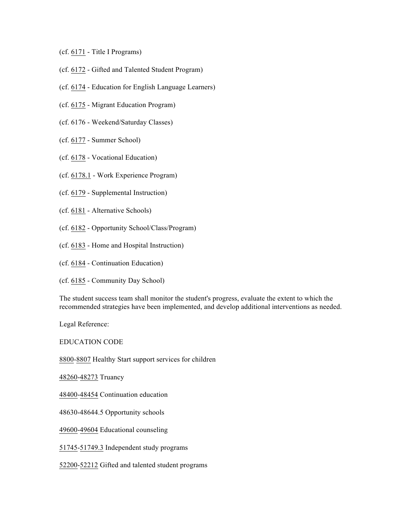- (cf. 6171 Title I Programs)
- (cf. 6172 Gifted and Talented Student Program)
- (cf. 6174 Education for English Language Learners)
- (cf. 6175 Migrant Education Program)
- (cf. 6176 Weekend/Saturday Classes)
- (cf. 6177 Summer School)
- (cf. 6178 Vocational Education)
- (cf. 6178.1 Work Experience Program)
- (cf. 6179 Supplemental Instruction)
- (cf. 6181 Alternative Schools)
- (cf. 6182 Opportunity School/Class/Program)
- (cf. 6183 Home and Hospital Instruction)
- (cf. 6184 Continuation Education)
- (cf. 6185 Community Day School)

The student success team shall monitor the student's progress, evaluate the extent to which the recommended strategies have been implemented, and develop additional interventions as needed.

Legal Reference:

EDUCATION CODE

8800-8807 Healthy Start support services for children

48260-48273 Truancy

48400-48454 Continuation education

48630-48644.5 Opportunity schools

49600-49604 Educational counseling

51745-51749.3 Independent study programs

52200-52212 Gifted and talented student programs